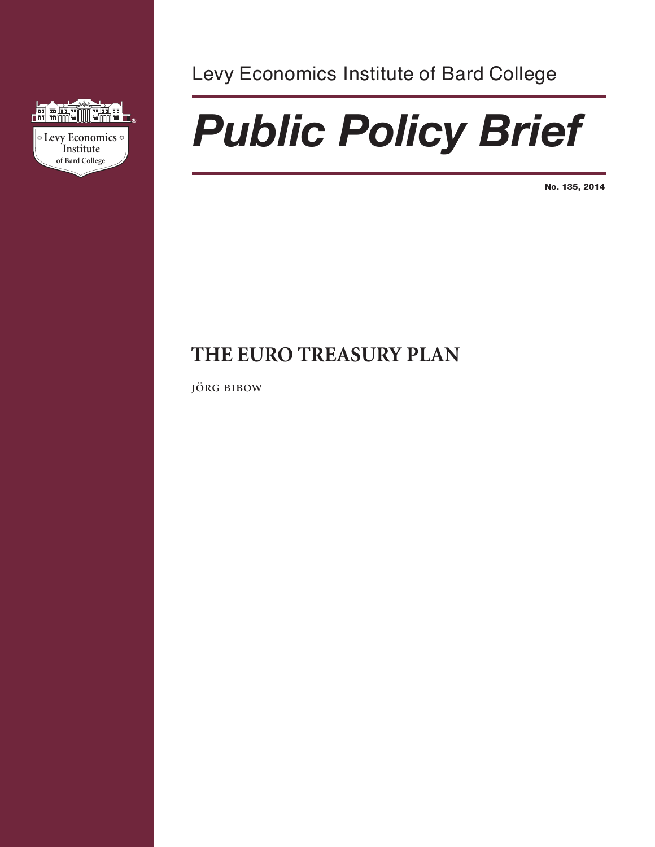

Levy Economics Institute of Bard College

# *Public Policy Brief*

**No. 135, 2014**

# **THE EURO TREASURY PLAN**

JÖRG BIBOW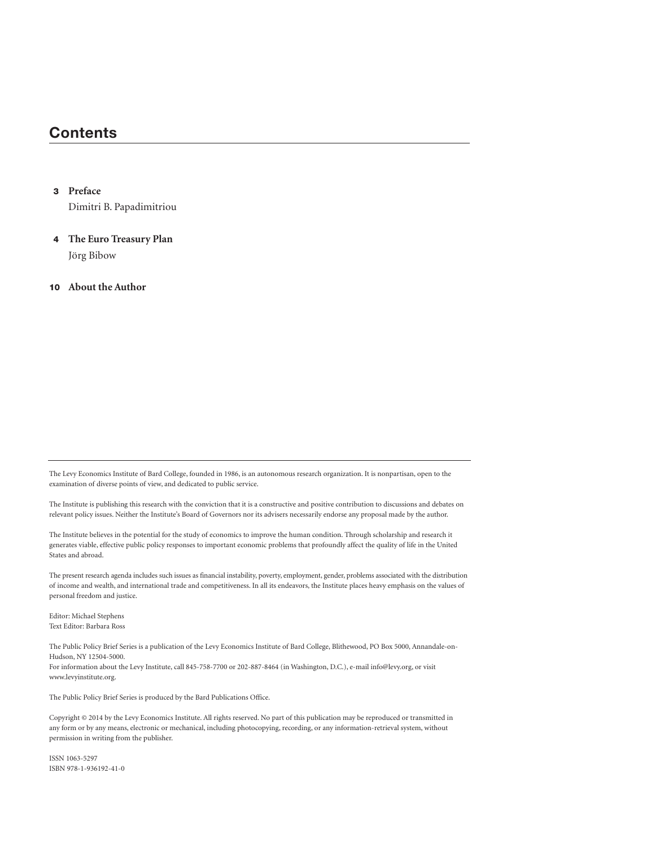# **Contents**

#### **3 Preface**

Dimitri B. Papadimitriou

**4 The Euro Treasury Plan** Jörg Bibow

**10 About the Author**

The Levy Economics Institute of Bard College, founded in 1986, is an autonomous research organization. It is nonpartisan, open to the examination of diverse points of view, and dedicated to public service.

The Institute is publishing this research with the conviction that it is a constructive and positive contribution to discussions and debates on relevant policy issues. Neither the Institute's Board of Governors nor its advisers necessarily endorse any proposal made by the author.

The Institute believes in the potential for the study of economics to improve the human condition. Through scholarship and research it generates viable, effective public policy responses to important economic problems that profoundly affect the quality of life in the United States and abroad.

The present research agenda includes such issues as financial instability, poverty, employment, gender, problems associated with the distribution of income and wealth, and international trade and competitiveness. In all its endeavors, the Institute places heavy emphasis on the values of personal freedom and justice.

Editor: Michael Stephens Text Editor: Barbara Ross

The Public Policy Brief Series is a publication of the Levy Economics Institute of Bard College, Blithewood, PO Box 5000, Annandale-on-Hudson, NY 12504-5000. For information about the Levy Institute, call 845-758-7700 or 202-887-8464 (in Washington, D.C.), e-mail info@levy.org, or visit www.levyinstitute.org.

The Public Policy Brief Series is produced by the Bard Publications Office.

Copyright © 2014 by the Levy Economics Institute. All rights reserved. No part of this publication may be reproduced or transmitted in any form or by any means, electronic or mechanical, including photocopying, recording, or any information-retrieval system, without permission in writing from the publisher.

ISSN 1063-5297 ISBN 978-1-936192-41-0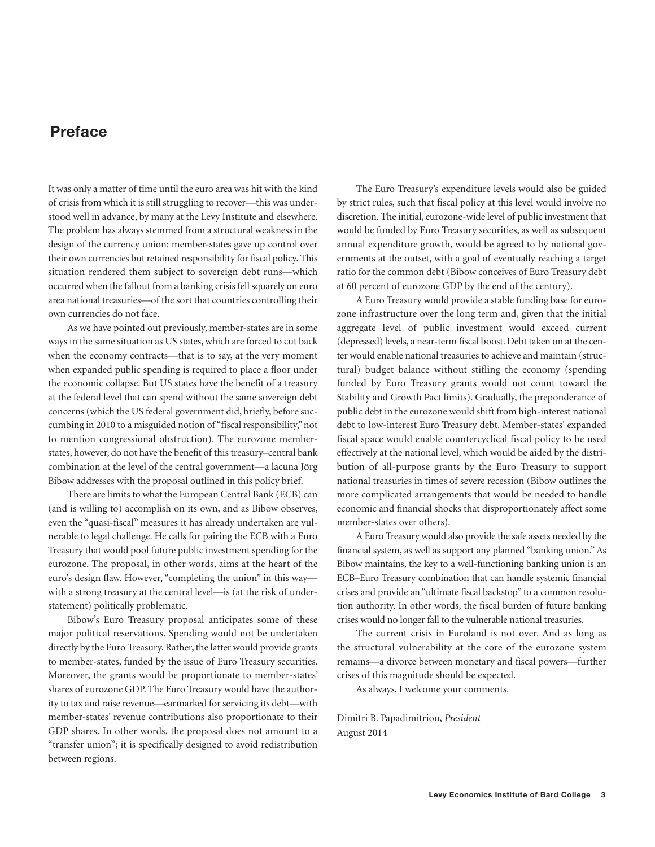# **Preface**

It was only a matter of time until the euro area was hit with the kind of crisis from which it is still struggling to recover—this was understood well in advance, by many at the Levy Institute and elsewhere. The problem has always stemmed from a structural weakness in the design of the currency union: member-states gave up control over their own currencies but retained responsibility for fiscal policy. This situation rendered them subject to sovereign debt runs—which occurred when the fallout from a banking crisis fell squarely on euro area national treasuries—of the sort that countries controlling their own currencies do not face.

As we have pointed out previously, member-states are in some ways in the same situation as US states, which are forced to cut back when the economy contracts—that is to say, at the very moment when expanded public spending is required to place a floor under the economic collapse. But US states have the benefit of a treasury at the federal level that can spend without the same sovereign debt concerns (which the US federal government did, briefly, before succumbing in 2010 to a misguided notion of "fiscal responsibility,"not to mention congressional obstruction). The eurozone memberstates, however, do not have the benefit of this treasury–central bank combination at the level of the central government—a lacuna Jörg Bibow addresses with the proposal outlined in this policy brief.

There are limits to what the European Central Bank (ECB) can (and is willing to) accomplish on its own, and as Bibow observes, even the "quasi-fiscal" measures it has already undertaken are vulnerable to legal challenge. He calls for pairing the ECB with a Euro Treasury that would pool future public investment spending for the eurozone. The proposal, in other words, aims at the heart of the euro's design flaw. However, "completing the union" in this way with a strong treasury at the central level—is (at the risk of understatement) politically problematic.

Bibow's Euro Treasury proposal anticipates some of these major political reservations. Spending would not be undertaken directly by the Euro Treasury. Rather, the latter would provide grants to member-states, funded by the issue of Euro Treasury securities. Moreover, the grants would be proportionate to member-states' shares of eurozone GDP. The Euro Treasury would have the authority to tax and raise revenue—earmarked for servicing its debt—with member-states' revenue contributions also proportionate to their GDP shares. In other words, the proposal does not amount to a "transfer union"; it is specifically designed to avoid redistribution between regions.

The Euro Treasury's expenditure levels would also be guided by strict rules, such that fiscal policy at this level would involve no discretion. The initial, eurozone-wide level of public investment that would be funded by Euro Treasury securities, as well as subsequent annual expenditure growth, would be agreed to by national governments at the outset, with a goal of eventually reaching a target ratio for the common debt (Bibow conceives of Euro Treasury debt at 60 percent of eurozone GDP by the end of the century).

A Euro Treasury would provide a stable funding base for eurozone infrastructure over the long term and, given that the initial aggregate level of public investment would exceed current (depressed) levels, a near-term fiscal boost. Debt taken on at the center would enable national treasuries to achieve and maintain (structural) budget balance without stifling the economy (spending funded by Euro Treasury grants would not count toward the Stability and Growth Pact limits). Gradually, the preponderance of public debt in the eurozone would shift from high-interest national debt to low-interest Euro Treasury debt. Member-states' expanded fiscal space would enable countercyclical fiscal policy to be used effectively at the national level, which would be aided by the distribution of all-purpose grants by the Euro Treasury to support national treasuries in times of severe recession (Bibow outlines the more complicated arrangements that would be needed to handle economic and financial shocks that disproportionately affect some member-states over others).

A Euro Treasury would also provide the safe assets needed by the financial system, as well as support any planned "banking union."As Bibow maintains, the key to a well-functioning banking union is an ECB–Euro Treasury combination that can handle systemic financial crises and provide an "ultimate fiscal backstop" to a common resolution authority. In other words, the fiscal burden of future banking crises would no longer fall to the vulnerable national treasuries.

The current crisis in Euroland is not over. And as long as the structural vulnerability at the core of the eurozone system remains—a divorce between monetary and fiscal powers—further crises of this magnitude should be expected.

As always, I welcome your comments.

Dimitri B. Papadimitriou, *President* August 2014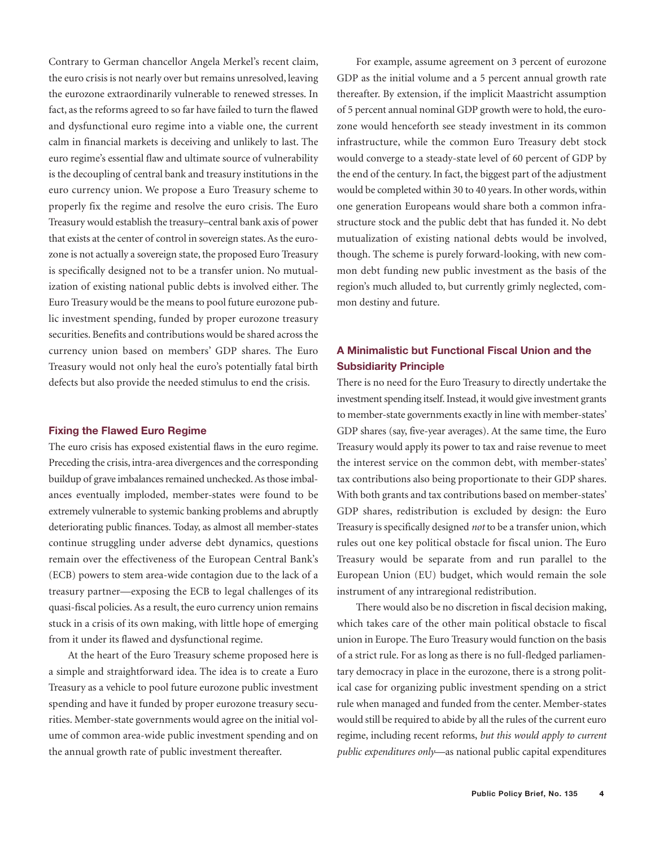Contrary to German chancellor Angela Merkel's recent claim, the euro crisis is not nearly over but remains unresolved, leaving the eurozone extraordinarily vulnerable to renewed stresses. In fact, as the reforms agreed to so far have failed to turn the flawed and dysfunctional euro regime into a viable one, the current calm in financial markets is deceiving and unlikely to last. The euro regime's essential flaw and ultimate source of vulnerability is the decoupling of central bank and treasury institutions in the euro currency union. We propose a Euro Treasury scheme to properly fix the regime and resolve the euro crisis. The Euro Treasury would establish the treasury–central bank axis of power that exists at the center of control in sovereign states.As the eurozone is not actually a sovereign state, the proposed Euro Treasury is specifically designed not to be a transfer union. No mutualization of existing national public debts is involved either. The Euro Treasury would be the means to pool future eurozone public investment spending, funded by proper eurozone treasury securities. Benefits and contributions would be shared across the currency union based on members' GDP shares. The Euro Treasury would not only heal the euro's potentially fatal birth defects but also provide the needed stimulus to end the crisis.

#### **Fixing the Flawed Euro Regime**

The euro crisis has exposed existential flaws in the euro regime. Preceding the crisis, intra-area divergences and the corresponding buildup of grave imbalances remained unchecked. As those imbalances eventually imploded, member-states were found to be extremely vulnerable to systemic banking problems and abruptly deteriorating public finances. Today, as almost all member-states continue struggling under adverse debt dynamics, questions remain over the effectiveness of the European Central Bank's (ECB) powers to stem area-wide contagion due to the lack of a treasury partner—exposing the ECB to legal challenges of its quasi-fiscal policies.As a result, the euro currency union remains stuck in a crisis of its own making, with little hope of emerging from it under its flawed and dysfunctional regime.

At the heart of the Euro Treasury scheme proposed here is a simple and straightforward idea. The idea is to create a Euro Treasury as a vehicle to pool future eurozone public investment spending and have it funded by proper eurozone treasury securities. Member-state governments would agree on the initial volume of common area-wide public investment spending and on the annual growth rate of public investment thereafter.

For example, assume agreement on 3 percent of eurozone GDP as the initial volume and a 5 percent annual growth rate thereafter. By extension, if the implicit Maastricht assumption of 5 percent annual nominal GDP growth were to hold, the eurozone would henceforth see steady investment in its common infrastructure, while the common Euro Treasury debt stock would converge to a steady-state level of 60 percent of GDP by the end of the century.In fact, the biggest part of the adjustment would be completed within 30 to 40 years. In other words, within one generation Europeans would share both a common infrastructure stock and the public debt that has funded it. No debt mutualization of existing national debts would be involved, though. The scheme is purely forward-looking, with new common debt funding new public investment as the basis of the region's much alluded to, but currently grimly neglected, common destiny and future.

# **A Minimalistic but Functional Fiscal Union and the Subsidiarity Principle**

There is no need for the Euro Treasury to directly undertake the investment spending itself. Instead, it would give investment grants to member-state governments exactly in line with member-states' GDP shares (say, five-year averages). At the same time, the Euro Treasury would apply its power to tax and raise revenue to meet the interest service on the common debt, with member-states' tax contributions also being proportionate to their GDP shares. With both grants and tax contributions based on member-states' GDP shares, redistribution is excluded by design: the Euro Treasury is specifically designed *not* to be a transfer union,which rules out one key political obstacle for fiscal union. The Euro Treasury would be separate from and run parallel to the European Union (EU) budget, which would remain the sole instrument of any intraregional redistribution.

There would also be no discretion in fiscal decision making, which takes care of the other main political obstacle to fiscal union in Europe. The Euro Treasury would function on the basis of a strict rule. For as long as there is no full-fledged parliamentary democracy in place in the eurozone, there is a strong political case for organizing public investment spending on a strict rule when managed and funded from the center. Member-states would still be required to abide by all the rules of the current euro regime, including recent reforms, *but this would apply to current public expenditures only*—as national public capital expenditures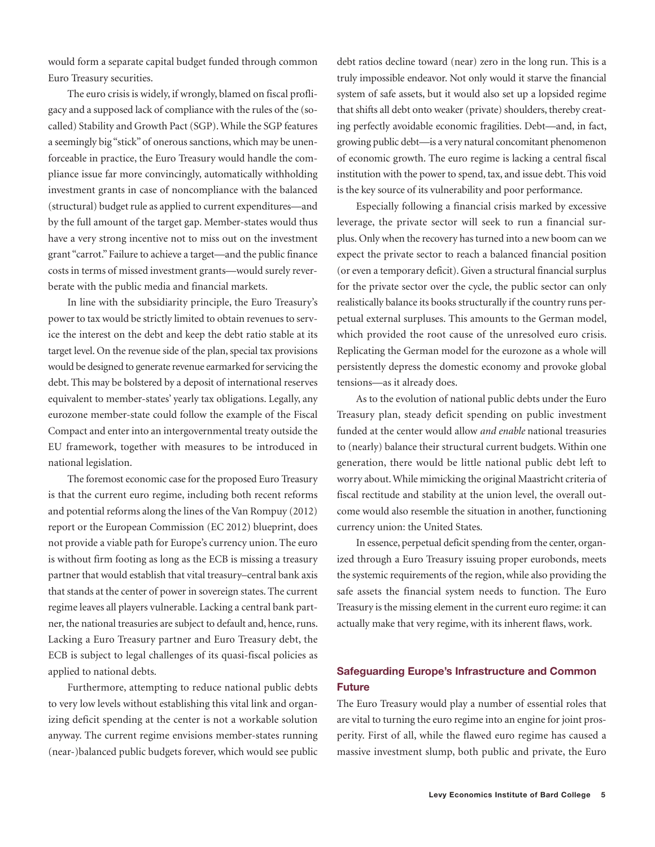would form a separate capital budget funded through common Euro Treasury securities.

The euro crisis is widely, if wrongly, blamed on fiscal profligacy and a supposed lack of compliance with the rules of the (socalled) Stability and Growth Pact (SGP).While the SGP features a seemingly big "stick" of onerous sanctions, which may be unenforceable in practice, the Euro Treasury would handle the compliance issue far more convincingly, automatically withholding investment grants in case of noncompliance with the balanced (structural) budget rule as applied to current expenditures—and by the full amount of the target gap. Member-states would thus have a very strong incentive not to miss out on the investment grant "carrot." Failure to achieve a target—and the public finance costs in terms of missed investment grants—would surely reverberate with the public media and financial markets.

In line with the subsidiarity principle, the Euro Treasury's power to tax would be strictly limited to obtain revenues to service the interest on the debt and keep the debt ratio stable at its target level. On the revenue side of the plan, special tax provisions would be designed to generate revenue earmarked for servicing the debt. This may be bolstered by a deposit of international reserves equivalent to member-states' yearly tax obligations. Legally, any eurozone member-state could follow the example of the Fiscal Compact and enter into an intergovernmental treaty outside the EU framework, together with measures to be introduced in national legislation.

The foremost economic case for the proposed Euro Treasury is that the current euro regime, including both recent reforms and potential reforms along the lines of the Van Rompuy (2012) report or the European Commission (EC 2012) blueprint, does not provide a viable path for Europe's currency union. The euro is without firm footing as long as the ECB is missing a treasury partner that would establish that vital treasury–central bank axis that stands at the center of power in sovereign states. The current regime leaves all players vulnerable. Lacking a central bank partner, the national treasuries are subject to default and, hence, runs. Lacking a Euro Treasury partner and Euro Treasury debt, the ECB is subject to legal challenges of its quasi-fiscal policies as applied to national debts.

Furthermore, attempting to reduce national public debts to very low levels without establishing this vital link and organizing deficit spending at the center is not a workable solution anyway. The current regime envisions member-states running (near-)balanced public budgets forever, which would see public

debt ratios decline toward (near) zero in the long run. This is a truly impossible endeavor. Not only would it starve the financial system of safe assets, but it would also set up a lopsided regime that shifts all debt onto weaker (private) shoulders, thereby creating perfectly avoidable economic fragilities. Debt—and, in fact, growing public debt—is a very natural concomitant phenomenon of economic growth. The euro regime is lacking a central fiscal institution with the power to spend, tax, and issue debt. This void is the key source of its vulnerability and poor performance.

Especially following a financial crisis marked by excessive leverage, the private sector will seek to run a financial surplus. Only when the recovery has turned into a new boom can we expect the private sector to reach a balanced financial position (or even a temporary deficit). Given a structural financial surplus for the private sector over the cycle, the public sector can only realistically balance its books structurally if the country runs perpetual external surpluses. This amounts to the German model, which provided the root cause of the unresolved euro crisis. Replicating the German model for the eurozone as a whole will persistently depress the domestic economy and provoke global tensions—as it already does.

As to the evolution of national public debts under the Euro Treasury plan, steady deficit spending on public investment funded at the center would allow *and enable* national treasuries to (nearly) balance their structural current budgets. Within one generation, there would be little national public debt left to worry about.While mimicking the original Maastricht criteria of fiscal rectitude and stability at the union level, the overall outcome would also resemble the situation in another, functioning currency union: the United States.

In essence, perpetual deficit spending from the center, organized through a Euro Treasury issuing proper eurobonds, meets the systemic requirements of the region,while also providing the safe assets the financial system needs to function. The Euro Treasury is the missing element in the current euro regime: it can actually make that very regime, with its inherent flaws, work.

# **Safeguarding Europe's Infrastructure and Common Future**

The Euro Treasury would play a number of essential roles that are vital to turning the euro regime into an engine for joint prosperity. First of all, while the flawed euro regime has caused a massive investment slump, both public and private, the Euro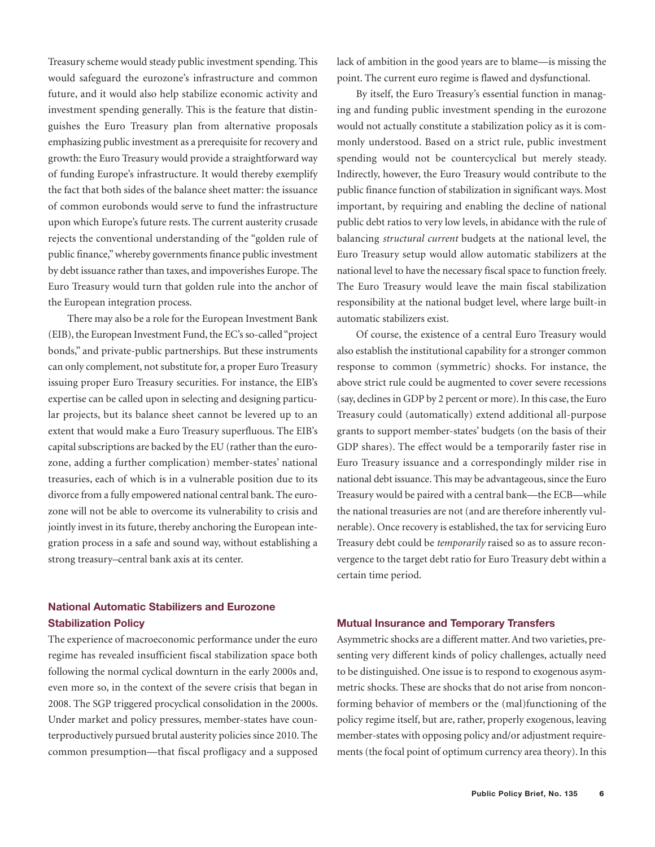Treasury scheme would steady public investment spending. This would safeguard the eurozone's infrastructure and common future, and it would also help stabilize economic activity and investment spending generally. This is the feature that distinguishes the Euro Treasury plan from alternative proposals emphasizing public investment as a prerequisite for recovery and growth: the Euro Treasury would provide a straightforward way of funding Europe's infrastructure. It would thereby exemplify the fact that both sides of the balance sheet matter: the issuance of common eurobonds would serve to fund the infrastructure upon which Europe's future rests. The current austerity crusade rejects the conventional understanding of the "golden rule of public finance,"whereby governments finance public investment by debt issuance rather than taxes, and impoverishes Europe. The Euro Treasury would turn that golden rule into the anchor of the European integration process.

There may also be a role for the European Investment Bank (EIB), the European Investment Fund, the EC's so-called"project bonds," and private-public partnerships. But these instruments can only complement, not substitute for, a proper Euro Treasury issuing proper Euro Treasury securities. For instance, the EIB's expertise can be called upon in selecting and designing particular projects, but its balance sheet cannot be levered up to an extent that would make a Euro Treasury superfluous. The EIB's capital subscriptions are backed by the EU (rather than the eurozone, adding a further complication) member-states' national treasuries, each of which is in a vulnerable position due to its divorce from a fully empowered national central bank. The eurozone will not be able to overcome its vulnerability to crisis and jointly invest in its future, thereby anchoring the European integration process in a safe and sound way, without establishing a strong treasury–central bank axis at its center.

# **National Automatic Stabilizers and Eurozone Stabilization Policy**

The experience of macroeconomic performance under the euro regime has revealed insufficient fiscal stabilization space both following the normal cyclical downturn in the early 2000s and, even more so, in the context of the severe crisis that began in 2008. The SGP triggered procyclical consolidation in the 2000s. Under market and policy pressures, member-states have counterproductively pursued brutal austerity policies since 2010. The common presumption—that fiscal profligacy and a supposed lack of ambition in the good years are to blame—is missing the point. The current euro regime is flawed and dysfunctional.

By itself, the Euro Treasury's essential function in managing and funding public investment spending in the eurozone would not actually constitute a stabilization policy as it is commonly understood. Based on a strict rule, public investment spending would not be countercyclical but merely steady. Indirectly, however, the Euro Treasury would contribute to the public finance function of stabilization in significant ways. Most important, by requiring and enabling the decline of national public debt ratios to very low levels, in abidance with the rule of balancing *structural current* budgets at the national level, the Euro Treasury setup would allow automatic stabilizers at the national level to have the necessary fiscal space to function freely. The Euro Treasury would leave the main fiscal stabilization responsibility at the national budget level, where large built-in automatic stabilizers exist.

Of course, the existence of a central Euro Treasury would also establish the institutional capability for a stronger common response to common (symmetric) shocks. For instance, the above strict rule could be augmented to cover severe recessions (say, declines in GDP by 2 percent or more). In this case, the Euro Treasury could (automatically) extend additional all-purpose grants to support member-states' budgets (on the basis of their GDP shares). The effect would be a temporarily faster rise in Euro Treasury issuance and a correspondingly milder rise in national debt issuance. This may be advantageous, since the Euro Treasury would be paired with a central bank—the ECB—while the national treasuries are not (and are therefore inherently vulnerable). Once recovery is established, the tax for servicing Euro Treasury debt could be *temporarily* raised so as to assure reconvergence to the target debt ratio for Euro Treasury debt within a certain time period.

#### **Mutual Insurance and Temporary Transfers**

Asymmetric shocks are a different matter.And two varieties, presenting very different kinds of policy challenges, actually need to be distinguished. One issue is to respond to exogenous asymmetric shocks. These are shocks that do not arise from nonconforming behavior of members or the (mal)functioning of the policy regime itself, but are, rather, properly exogenous, leaving member-states with opposing policy and/or adjustment requirements (the focal point of optimum currency area theory). In this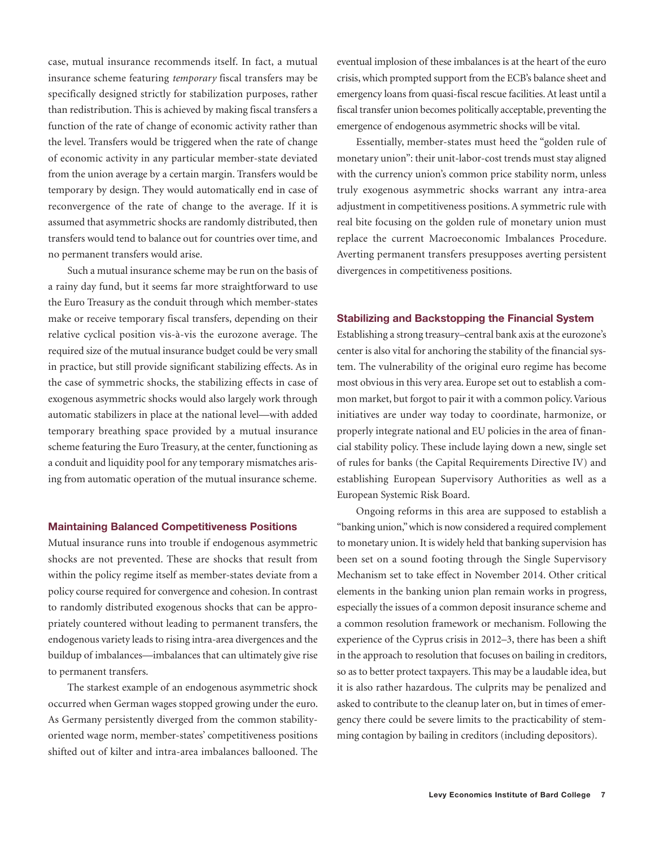case, mutual insurance recommends itself. In fact, a mutual insurance scheme featuring *temporary* fiscal transfers may be specifically designed strictly for stabilization purposes, rather than redistribution. This is achieved by making fiscal transfers a function of the rate of change of economic activity rather than the level. Transfers would be triggered when the rate of change of economic activity in any particular member-state deviated from the union average by a certain margin. Transfers would be temporary by design. They would automatically end in case of reconvergence of the rate of change to the average. If it is assumed that asymmetric shocks are randomly distributed, then transfers would tend to balance out for countries over time, and no permanent transfers would arise.

Such a mutual insurance scheme may be run on the basis of a rainy day fund, but it seems far more straightforward to use the Euro Treasury as the conduit through which member-states make or receive temporary fiscal transfers, depending on their relative cyclical position vis-à-vis the eurozone average. The required size of the mutual insurance budget could be very small in practice, but still provide significant stabilizing effects. As in the case of symmetric shocks, the stabilizing effects in case of exogenous asymmetric shocks would also largely work through automatic stabilizers in place at the national level—with added temporary breathing space provided by a mutual insurance scheme featuring the Euro Treasury, at the center, functioning as a conduit and liquidity pool for any temporary mismatches arising from automatic operation of the mutual insurance scheme.

#### **Maintaining Balanced Competitiveness Positions**

Mutual insurance runs into trouble if endogenous asymmetric shocks are not prevented. These are shocks that result from within the policy regime itself as member-states deviate from a policy course required for convergence and cohesion.In contrast to randomly distributed exogenous shocks that can be appropriately countered without leading to permanent transfers, the endogenous variety leads to rising intra-area divergences and the buildup of imbalances—imbalances that can ultimately give rise to permanent transfers.

The starkest example of an endogenous asymmetric shock occurred when German wages stopped growing under the euro. As Germany persistently diverged from the common stabilityoriented wage norm, member-states' competitiveness positions shifted out of kilter and intra-area imbalances ballooned. The eventual implosion of these imbalances is at the heart of the euro crisis,which prompted support from the ECB's balance sheet and emergency loans from quasi-fiscal rescue facilities.At least until a fiscal transfer union becomes politically acceptable, preventing the emergence of endogenous asymmetric shocks will be vital.

Essentially, member-states must heed the "golden rule of monetary union": their unit-labor-cost trends must stay aligned with the currency union's common price stability norm, unless truly exogenous asymmetric shocks warrant any intra-area adjustment in competitiveness positions.A symmetric rule with real bite focusing on the golden rule of monetary union must replace the current Macroeconomic Imbalances Procedure. Averting permanent transfers presupposes averting persistent divergences in competitiveness positions.

#### **Stabilizing and Backstopping the Financial System**

Establishing a strong treasury–central bank axis at the eurozone's center is also vital for anchoring the stability of the financial system. The vulnerability of the original euro regime has become most obvious in this very area. Europe set out to establish a common market, but forgot to pair it with a common policy.Various initiatives are under way today to coordinate, harmonize, or properly integrate national and EU policies in the area of financial stability policy. These include laying down a new, single set of rules for banks (the Capital Requirements Directive IV) and establishing European Supervisory Authorities as well as a European Systemic Risk Board.

Ongoing reforms in this area are supposed to establish a "banking union,"which is nowconsidered a required complement to monetary union.It is widely held that banking supervision has been set on a sound footing through the Single Supervisory Mechanism set to take effect in November 2014. Other critical elements in the banking union plan remain works in progress, especially the issues of a common deposit insurance scheme and a common resolution framework or mechanism. Following the experience of the Cyprus crisis in 2012–3, there has been a shift in the approach to resolution that focuses on bailing in creditors, so as to better protect taxpayers. This may be a laudable idea, but it is also rather hazardous. The culprits may be penalized and asked to contribute to the cleanup later on, but in times of emergency there could be severe limits to the practicability of stemming contagion by bailing in creditors (including depositors).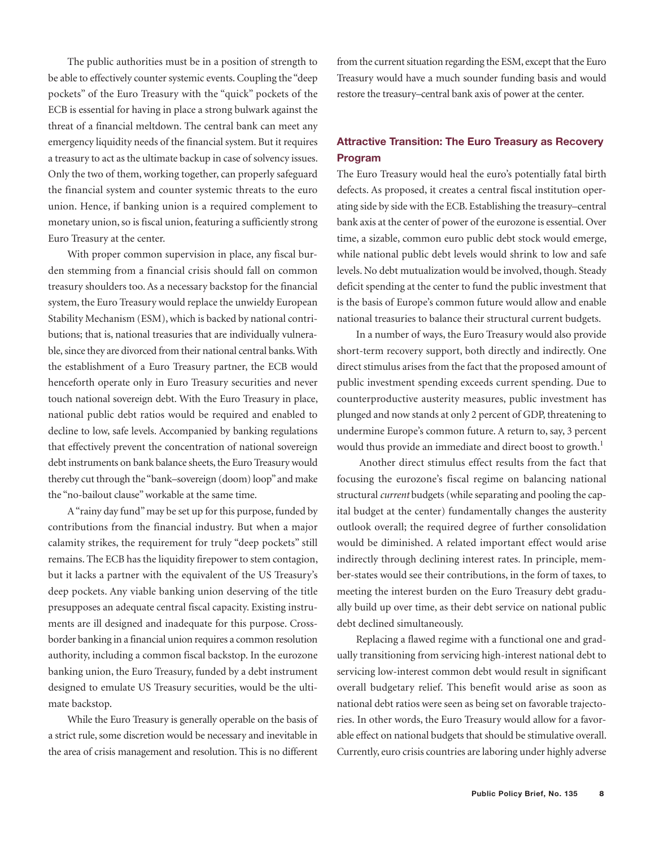The public authorities must be in a position of strength to be able to effectively counter systemic events.Coupling the "deep pockets" of the Euro Treasury with the "quick" pockets of the ECB is essential for having in place a strong bulwark against the threat of a financial meltdown. The central bank can meet any emergency liquidity needs of the financial system. But it requires a treasury to act as the ultimate backup in case of solvency issues. Only the two of them, working together, can properly safeguard the financial system and counter systemic threats to the euro union. Hence, if banking union is a required complement to monetary union, so is fiscal union, featuring a sufficiently strong Euro Treasury at the center.

With proper common supervision in place, any fiscal burden stemming from a financial crisis should fall on common treasury shoulders too. As a necessary backstop for the financial system, the Euro Treasury would replace the unwieldy European Stability Mechanism (ESM), which is backed by national contributions; that is, national treasuries that are individually vulnerable, since they are divorced from their national central banks. With the establishment of a Euro Treasury partner, the ECB would henceforth operate only in Euro Treasury securities and never touch national sovereign debt. With the Euro Treasury in place, national public debt ratios would be required and enabled to decline to low, safe levels. Accompanied by banking regulations that effectively prevent the concentration of national sovereign debt instruments on bank balance sheets, the Euro Treasury would thereby cut through the "bank–sovereign (doom) loop" and make the "no-bailout clause"workable at the same time.

A"rainy day fund"may be set up for this purpose, funded by contributions from the financial industry. But when a major calamity strikes, the requirement for truly "deep pockets" still remains. The ECB has the liquidity firepower to stem contagion, but it lacks a partner with the equivalent of the US Treasury's deep pockets. Any viable banking union deserving of the title presupposes an adequate central fiscal capacity. Existing instruments are ill designed and inadequate for this purpose. Crossborder banking in a financial union requires a common resolution authority, including a common fiscal backstop. In the eurozone banking union, the Euro Treasury, funded by a debt instrument designed to emulate US Treasury securities, would be the ultimate backstop.

While the Euro Treasury is generally operable on the basis of a strict rule, some discretion would be necessary and inevitable in the area of crisis management and resolution. This is no different

from the current situation regarding the ESM, except that the Euro Treasury would have a much sounder funding basis and would restore the treasury–central bank axis of power at the center.

# **Attractive Transition: The Euro Treasury as Recovery Program**

The Euro Treasury would heal the euro's potentially fatal birth defects. As proposed, it creates a central fiscal institution operating side by side with the ECB. Establishing the treasury–central bank axis at the center of power of the eurozone is essential. Over time, a sizable, common euro public debt stock would emerge, while national public debt levels would shrink to low and safe levels. No debt mutualization would be involved, though. Steady deficit spending at the center to fund the public investment that is the basis of Europe's common future would allow and enable national treasuries to balance their structural current budgets.

In a number of ways, the Euro Treasury would also provide short-term recovery support, both directly and indirectly. One direct stimulus arises from the fact that the proposed amount of public investment spending exceeds current spending. Due to counterproductive austerity measures, public investment has plunged and now stands at only 2 percent of GDP, threatening to undermine Europe's common future. A return to, say, 3 percent would thus provide an immediate and direct boost to growth. 1

Another direct stimulus effect results from the fact that focusing the eurozone's fiscal regime on balancing national structural *current* budgets (while separating and pooling the capital budget at the center) fundamentally changes the austerity outlook overall; the required degree of further consolidation would be diminished. A related important effect would arise indirectly through declining interest rates. In principle, member-states would see their contributions, in the form of taxes, to meeting the interest burden on the Euro Treasury debt gradually build up over time, as their debt service on national public debt declined simultaneously.

Replacing a flawed regime with a functional one and gradually transitioning from servicing high-interest national debt to servicing low-interest common debt would result in significant overall budgetary relief. This benefit would arise as soon as national debt ratios were seen as being set on favorable trajectories. In other words, the Euro Treasury would allow for a favorable effect on national budgets that should be stimulative overall. Currently, euro crisis countries are laboring under highly adverse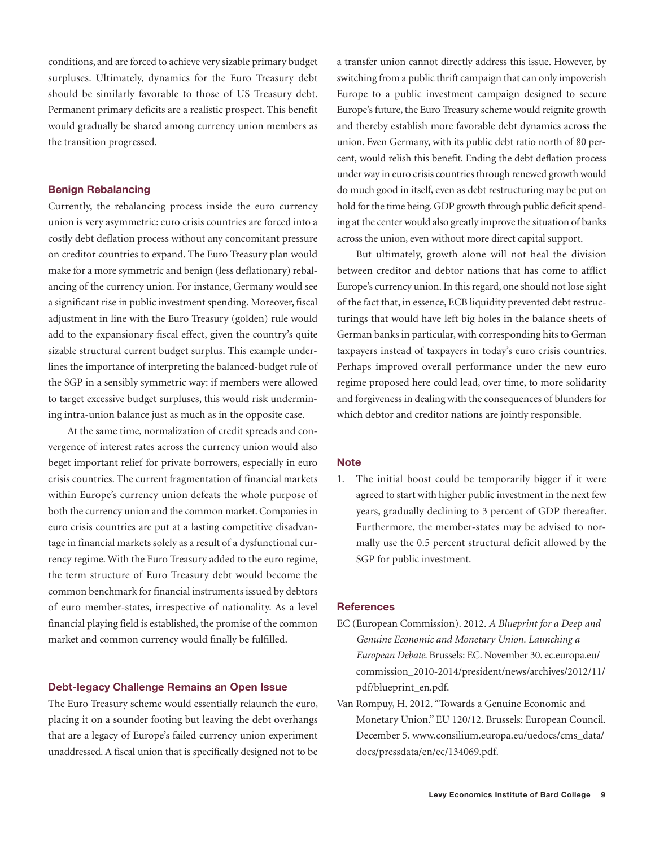conditions, and are forced to achieve very sizable primary budget surpluses. Ultimately, dynamics for the Euro Treasury debt should be similarly favorable to those of US Treasury debt. Permanent primary deficits are a realistic prospect. This benefit would gradually be shared among currency union members as the transition progressed.

#### **Benign Rebalancing**

Currently, the rebalancing process inside the euro currency union is very asymmetric: euro crisis countries are forced into a costly debt deflation process without any concomitant pressure on creditor countries to expand. The Euro Treasury plan would make for a more symmetric and benign (less deflationary) rebalancing of the currency union. For instance, Germany would see a significant rise in public investment spending. Moreover, fiscal adjustment in line with the Euro Treasury (golden) rule would add to the expansionary fiscal effect, given the country's quite sizable structural current budget surplus. This example underlines the importance of interpreting the balanced-budget rule of the SGP in a sensibly symmetric way: if members were allowed to target excessive budget surpluses, this would risk undermining intra-union balance just as much as in the opposite case.

At the same time, normalization of credit spreads and convergence of interest rates across the currency union would also beget important relief for private borrowers, especially in euro crisis countries. The current fragmentation of financial markets within Europe's currency union defeats the whole purpose of both the currency union and the common market.Companies in euro crisis countries are put at a lasting competitive disadvantage in financial markets solely as a result of a dysfunctional currency regime. With the Euro Treasury added to the euro regime, the term structure of Euro Treasury debt would become the common benchmark for financial instruments issued by debtors of euro member-states, irrespective of nationality. As a level financial playing field is established, the promise of the common market and common currency would finally be fulfilled.

### **Debt-legacy Challenge Remains an Open Issue**

The Euro Treasury scheme would essentially relaunch the euro, placing it on a sounder footing but leaving the debt overhangs that are a legacy of Europe's failed currency union experiment unaddressed. A fiscal union that is specifically designed not to be a transfer union cannot directly address this issue. However, by switching from a public thrift campaign that can only impoverish Europe to a public investment campaign designed to secure Europe's future, the Euro Treasury scheme would reignite growth and thereby establish more favorable debt dynamics across the union. Even Germany, with its public debt ratio north of 80 percent, would relish this benefit. Ending the debt deflation process under way in euro crisis countriesthrough renewed growth would do much good in itself, even as debt restructuring may be put on hold for the time being. GDP growth through public deficit spending at the center would also greatly improve the situation of banks across the union, even without more direct capital support.

But ultimately, growth alone will not heal the division between creditor and debtor nations that has come to afflict Europe's currency union.In this regard, one should not lose sight of the fact that, in essence, ECB liquidity prevented debt restructurings that would have left big holes in the balance sheets of German banks in particular, with corresponding hits to German taxpayers instead of taxpayers in today's euro crisis countries. Perhaps improved overall performance under the new euro regime proposed here could lead, over time, to more solidarity and forgiveness in dealing with the consequences of blunders for which debtor and creditor nations are jointly responsible.

#### **Note**

1. The initial boost could be temporarily bigger if it were agreed to start with higher public investment in the next few years, gradually declining to 3 percent of GDP thereafter. Furthermore, the member-states may be advised to normally use the 0.5 percent structural deficit allowed by the SGP for public investment.

#### **References**

- EC (European Commission). 2012. *A Blueprint for a Deep and Genuine Economic and Monetary Union. Launching a European Debate*. Brussels: EC. November 30. ec.europa.eu/ commission\_2010-2014/president/news/archives/2012/11/ pdf/blueprint\_en.pdf.
- Van Rompuy, H. 2012. "Towards a Genuine Economic and Monetary Union." EU 120/12. Brussels: European Council. December 5. www.consilium.europa.eu/uedocs/cms\_data/ docs/pressdata/en/ec/134069.pdf.